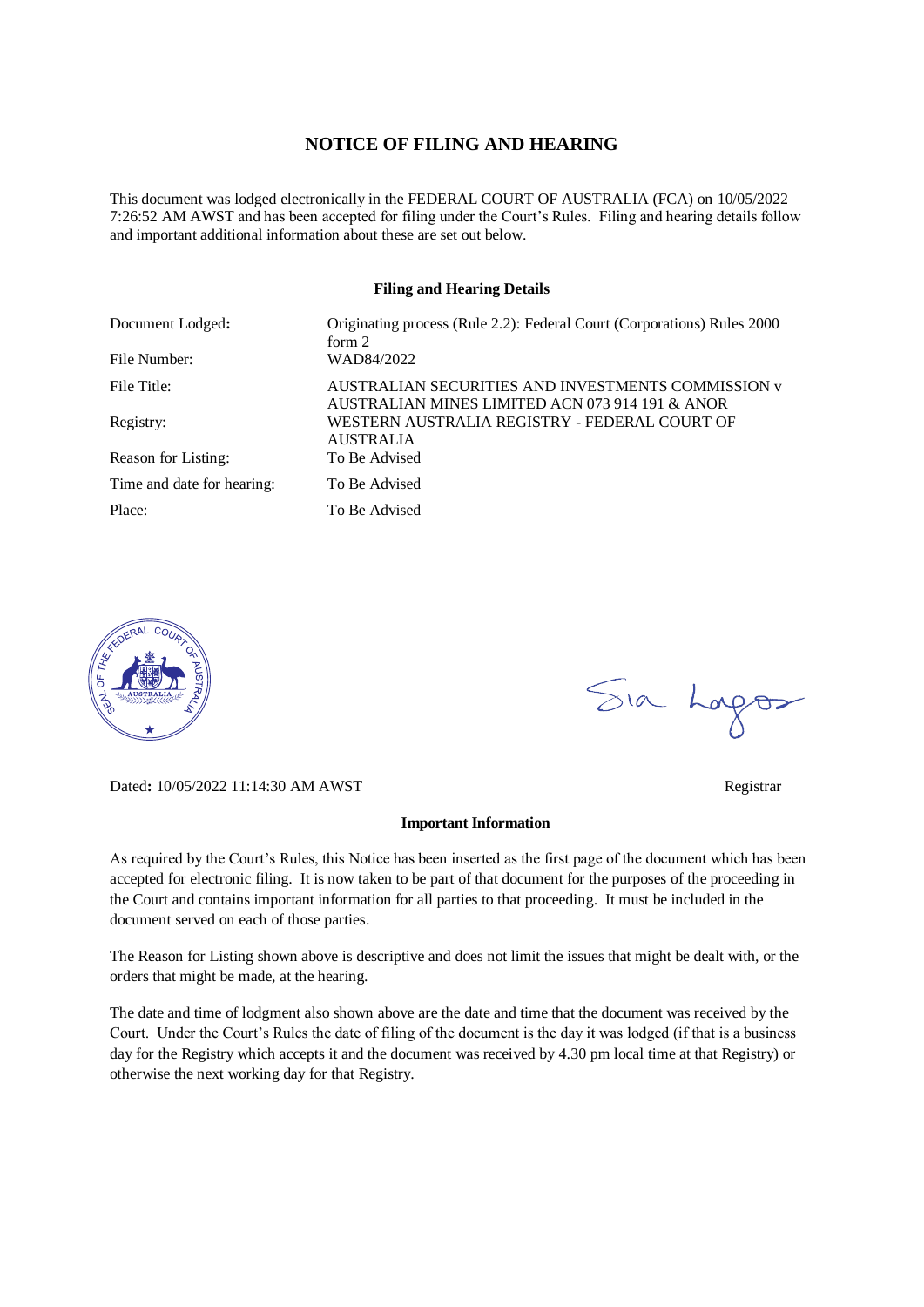### **NOTICE OF FILING AND HEARING**

This document was lodged electronically in the FEDERAL COURT OF AUSTRALIA (FCA) on 10/05/2022 7:26:52 AM AWST and has been accepted for filing under the Court's Rules. Filing and hearing details follow and important additional information about these are set out below.

### **Filing and Hearing Details**

| Document Lodged:           | Originating process (Rule 2.2): Federal Court (Corporations) Rules 2000<br>form $2$                   |
|----------------------------|-------------------------------------------------------------------------------------------------------|
| File Number:               | WAD84/2022                                                                                            |
| File Title:                | AUSTRALIAN SECURITIES AND INVESTMENTS COMMISSION v<br>AUSTRALIAN MINES LIMITED ACN 073 914 191 & ANOR |
| Registry:                  | WESTERN AUSTRALIA REGISTRY - FEDERAL COURT OF<br><b>AUSTRALIA</b>                                     |
| Reason for Listing:        | To Be Advised                                                                                         |
| Time and date for hearing: | To Be Advised                                                                                         |
| Place:                     | To Be Advised                                                                                         |



Dated**:** 10/05/2022 11:14:30 AM AWST Registrar

### **Important Information**

As required by the Court's Rules, this Notice has been inserted as the first page of the document which has been accepted for electronic filing. It is now taken to be part of that document for the purposes of the proceeding in the Court and contains important information for all parties to that proceeding. It must be included in the document served on each of those parties.

The Reason for Listing shown above is descriptive and does not limit the issues that might be dealt with, or the orders that might be made, at the hearing.

The date and time of lodgment also shown above are the date and time that the document was received by the Court. Under the Court's Rules the date of filing of the document is the day it was lodged (if that is a business day for the Registry which accepts it and the document was received by 4.30 pm local time at that Registry) or otherwise the next working day for that Registry.

Sia Logos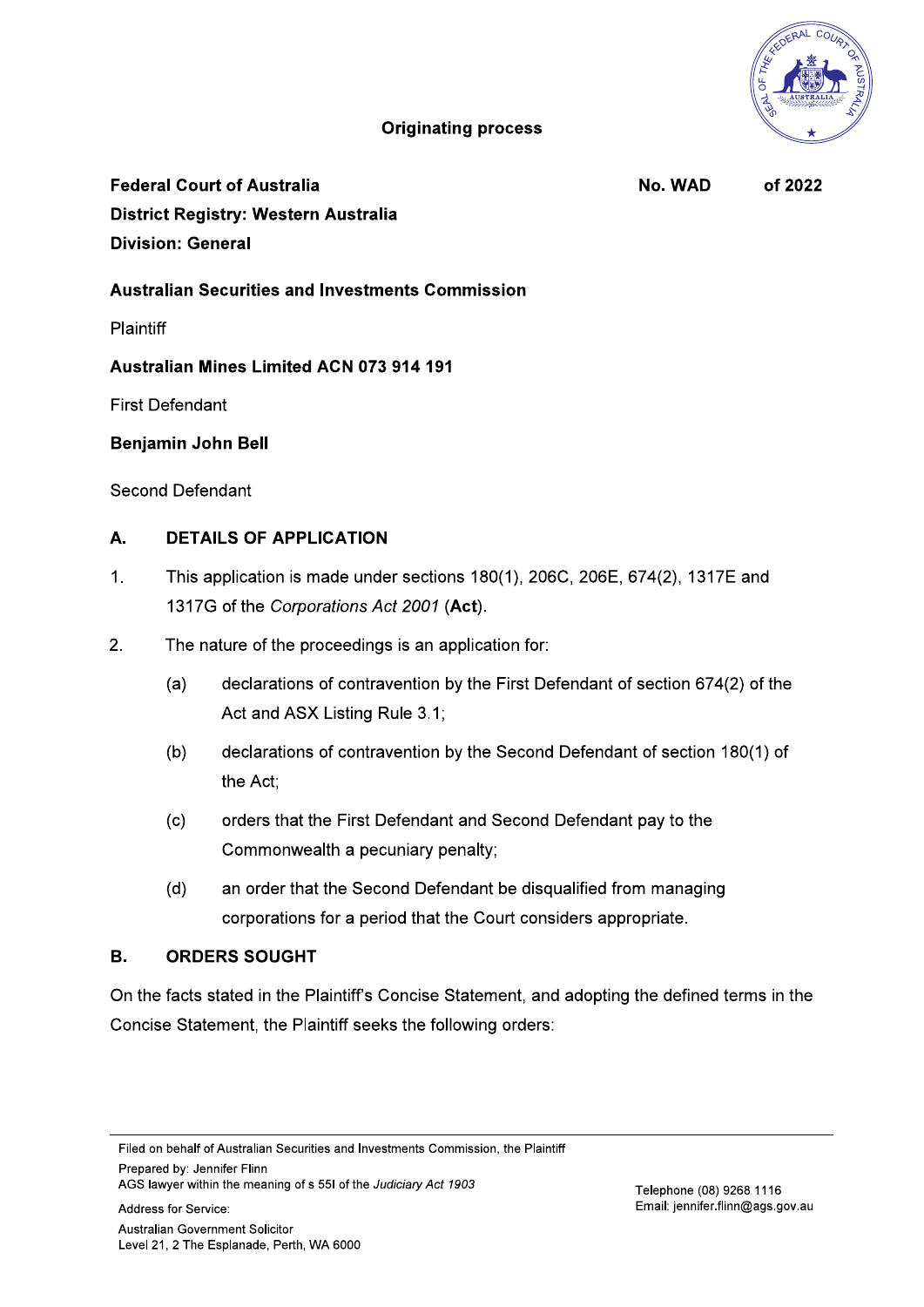# **Originating process**

**Federal Court of Australia** District Registry: Western Australia **Division: General** 

No. WAD of 2022

# **Australian Securities and Investments Commission**

**Plaintiff** 

**Australian Mines Limited ACN 073 914 191** 

**First Defendant** 

## **Benjamin John Bell**

Second Defendant

#### **DETAILS OF APPLICATION A.**

- $1<sub>1</sub>$ This application is made under sections 180(1), 206C, 206E, 674(2), 1317E and 1317G of the Corporations Act 2001 (Act).
- $2<sup>1</sup>$ The nature of the proceedings is an application for:
	- declarations of contravention by the First Defendant of section 674(2) of the  $(a)$ Act and ASX Listing Rule 3.1;
	- declarations of contravention by the Second Defendant of section 180(1) of  $(b)$ the Act:
	- $(c)$ orders that the First Defendant and Second Defendant pay to the Commonwealth a pecuniary penalty;
	- an order that the Second Defendant be disqualified from managing  $(d)$ corporations for a period that the Court considers appropriate.

#### **B. ORDERS SOUGHT**

On the facts stated in the Plaintiff's Concise Statement, and adopting the defined terms in the Concise Statement, the Plaintiff seeks the following orders:

Filed on behalf of Australian Securities and Investments Commission, the Plaintiff Prepared by: Jennifer Flinn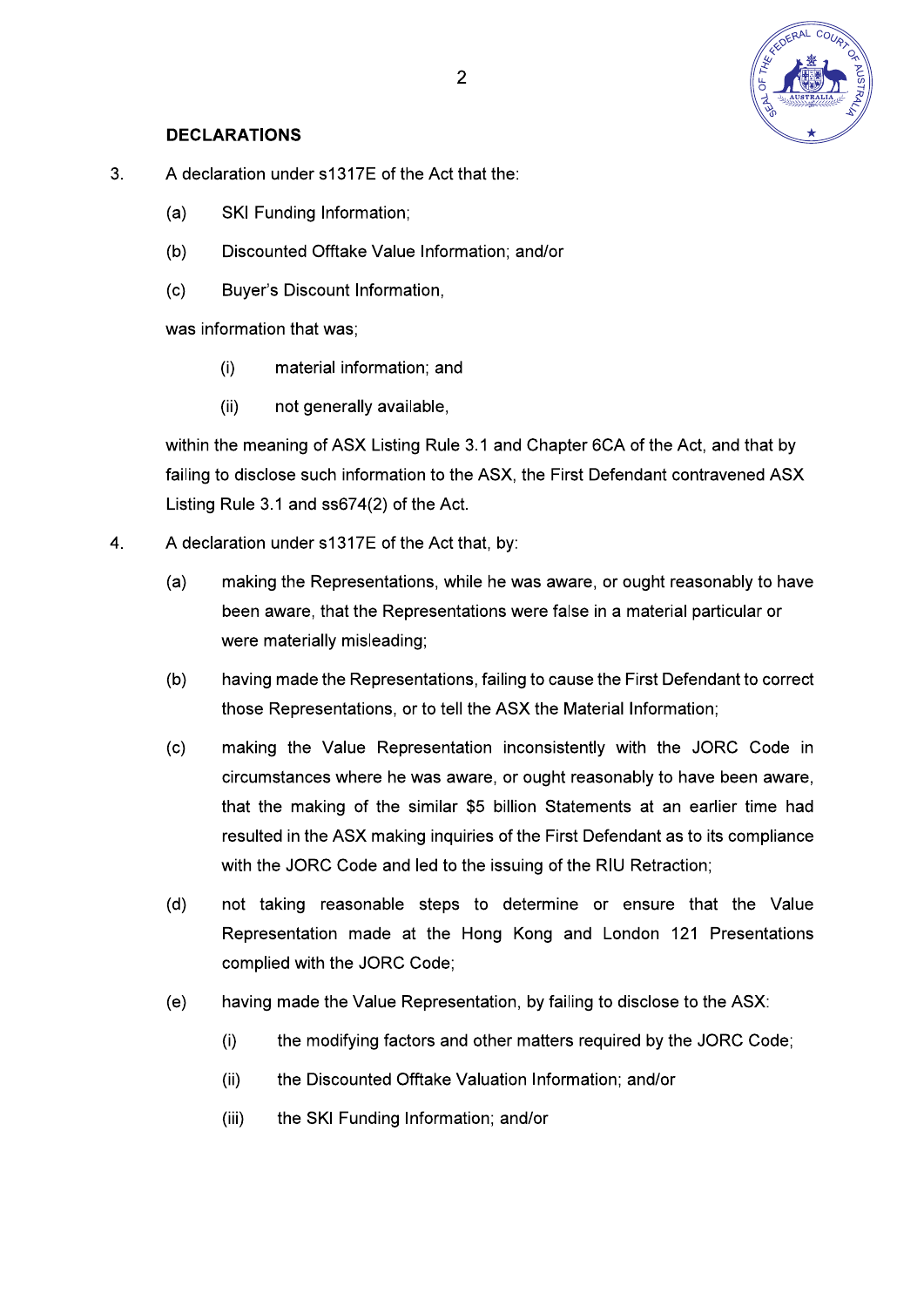

## **DECLARATIONS**

- $3<sub>1</sub>$ A declaration under s1317E of the Act that the:
	- **SKI Funding Information:**  $(a)$
	- $(b)$ Discounted Offtake Value Information; and/or
	- $(c)$ Buyer's Discount Information,

was information that was;

- $(i)$ material information: and
- $(ii)$ not generally available,

within the meaning of ASX Listing Rule 3.1 and Chapter 6CA of the Act, and that by failing to disclose such information to the ASX, the First Defendant contravened ASX Listing Rule 3.1 and ss674(2) of the Act.

- $\overline{4}$ A declaration under s1317E of the Act that, by:
	- $(a)$ making the Representations, while he was aware, or ought reasonably to have been aware, that the Representations were false in a material particular or were materially misleading;
	- $(b)$ having made the Representations, failing to cause the First Defendant to correct those Representations, or to tell the ASX the Material Information;
	- making the Value Representation inconsistently with the JORC Code in  $(c)$ circumstances where he was aware, or ought reasonably to have been aware, that the making of the similar \$5 billion Statements at an earlier time had resulted in the ASX making inquiries of the First Defendant as to its compliance with the JORC Code and led to the issuing of the RIU Retraction;
	- not taking reasonable steps to determine or ensure that the Value  $(d)$ Representation made at the Hong Kong and London 121 Presentations complied with the JORC Code:
	- having made the Value Representation, by failing to disclose to the ASX:  $(e)$ 
		- $(i)$ the modifying factors and other matters required by the JORC Code;
		- the Discounted Offtake Valuation Information: and/or  $(ii)$
		- the SKI Funding Information; and/or  $(iii)$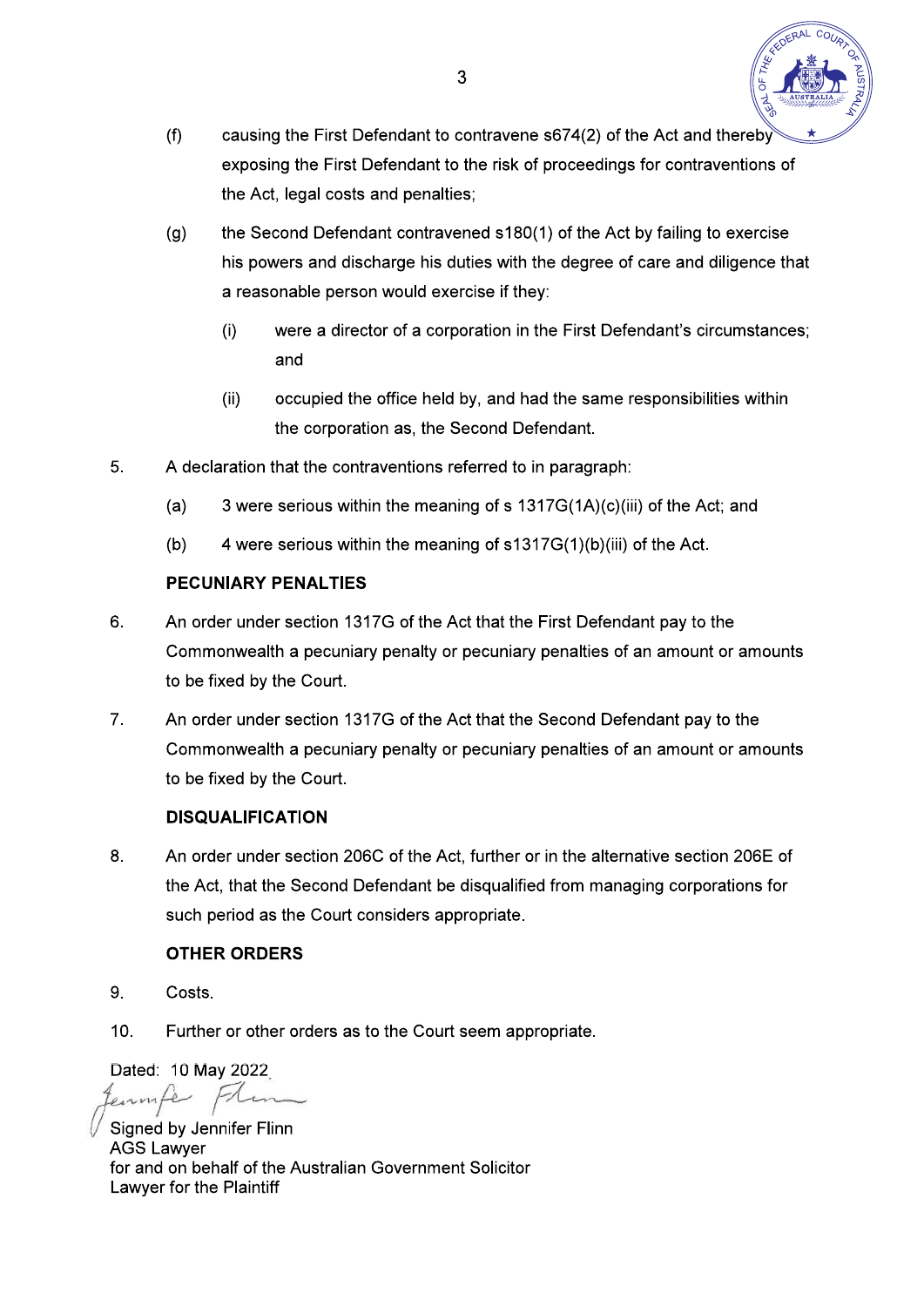

- causing the First Defendant to contravene s674(2) of the Act and thereby  $(f)$ exposing the First Defendant to the risk of proceedings for contraventions of the Act, legal costs and penalties;
- the Second Defendant contravened s180(1) of the Act by failing to exercise  $(g)$ his powers and discharge his duties with the degree of care and diligence that a reasonable person would exercise if they:
	- $(i)$ were a director of a corporation in the First Defendant's circumstances; and
	- $(ii)$ occupied the office held by, and had the same responsibilities within the corporation as, the Second Defendant.
- 5. A declaration that the contraventions referred to in paragraph:
	- 3 were serious within the meaning of s 1317G(1A)(c)(iii) of the Act; and  $(a)$
	- 4 were serious within the meaning of s1317G(1)(b)(iii) of the Act.  $(b)$

### **PECUNIARY PENALTIES**

- 6. An order under section 1317G of the Act that the First Defendant pay to the Commonwealth a pecuniary penalty or pecuniary penalties of an amount or amounts to be fixed by the Court.
- $7<sub>1</sub>$ An order under section 1317G of the Act that the Second Defendant pay to the Commonwealth a pecuniary penalty or pecuniary penalties of an amount or amounts to be fixed by the Court.

### **DISQUALIFICATION**

8. An order under section 206C of the Act, further or in the alternative section 206E of the Act, that the Second Defendant be disqualified from managing corporations for such period as the Court considers appropriate.

# **OTHER ORDERS**

- 9 Costs.
- $10<sub>1</sub>$ Further or other orders as to the Court seem appropriate.

Dated: 10 May 2022 enmite Frin

Signed by Jennifer Flinn **AGS Lawver** for and on behalf of the Australian Government Solicitor Lawyer for the Plaintiff